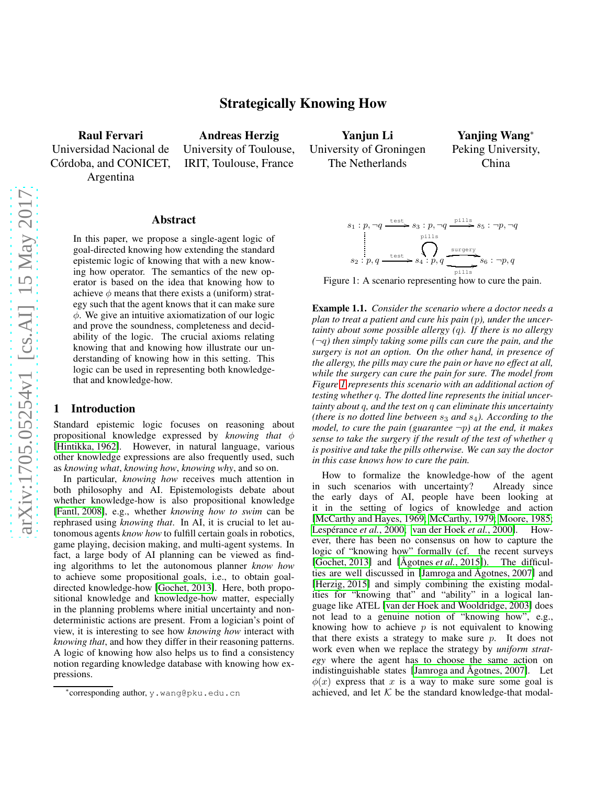arXiv:1705.05254v1 [cs.AI] 15 May 2017

# Strategically Knowing How

Raul Fervari Universidad Nacional de Córdoba, and CONICET, Argentina

Andreas Herzig University of Toulouse, IRIT, Toulouse, France

Yanjun Li University of Groningen The Netherlands

Yanjing Wang<sup>∗</sup> Peking University, China



<span id="page-0-0"></span>Figure 1: A scenario representing how to cure the pain.

<span id="page-0-1"></span>Example 1.1. *Consider the scenario where a doctor needs a plan to treat a patient and cure his pain (*p*), under the uncertainty about some possible allergy (*q*). If there is no allergy (*¬q*) then simply taking some pills can cure the pain, and the surgery is not an option. On the other hand, in presence of the allergy, the pills may cure the pain or have no effect at all, while the surgery can cure the pain for sure. The model from Figure [1](#page-0-0) represents this scenario with an additional action of testing whether* q*. The dotted line represents the initial uncertainty about* q*, and the test on* q *can eliminate this uncertainty (there is no dotted line between*  $s_3$  *and*  $s_4$ *). According to the model, to cure the pain (guarantee* ¬p*) at the end, it makes sense to take the surgery if the result of the test of whether* q *is positive and take the pills otherwise. We can say the doctor in this case knows how to cure the pain.*

How to formalize the knowledge-how of the agent in such scenarios with uncertainty? Already since the early days of AI, people have been looking at it in the setting of logics of knowledge and action [\[McCarthy and Hayes, 1969;](#page-7-3) [McCarthy, 1979;](#page-7-4) [Moore, 1985;](#page-7-5) Lespérance *et al.*, 2000; [van der Hoek](#page-7-7) *et al.*, 2000]. However, there has been no consensus on how to capture the logic of "knowing how" formally (cf. the recent surveys [\[Gochet, 2013\]](#page-7-2) and  $[\text{Agotnes } et al., 2015]$ ]. The difficulties are well discussed in [Jamroga and Ågotnes, 2007] and [\[Herzig, 2015\]](#page-7-9) and simply combining the existing modalities for "knowing that" and "ability" in a logical language like ATEL [\[van der Hoek and Wooldridge, 2003\]](#page-7-10) does not lead to a genuine notion of "knowing how", e.g., knowing how to achieve  $p$  is not equivalent to knowing that there exists a strategy to make sure  $p$ . It does not work even when we replace the strategy by *uniform strategy* where the agent has to choose the same action on indistinguishable states [Jamroga and [Agotnes, 2007](#page-7-8)]. Let  $\phi(x)$  express that x is a way to make sure some goal is achieved, and let  $K$  be the standard knowledge-that modal-

#### Abstract

In this paper, we propose a single-agent logic of goal-directed knowing how extending the standard epistemic logic of knowing that with a new knowing how operator. The semantics of the new operator is based on the idea that knowing how to achieve  $\phi$  means that there exists a (uniform) strategy such that the agent knows that it can make sure  $\phi$ . We give an intuitive axiomatization of our logic and prove the soundness, completeness and decidability of the logic. The crucial axioms relating knowing that and knowing how illustrate our understanding of knowing how in this setting. This logic can be used in representing both knowledgethat and knowledge-how.

## 1 Introduction

Standard epistemic logic focuses on reasoning about propositional knowledge expressed by *knowing that* φ [\[Hintikka, 1962\]](#page-7-0). However, in natural language, various other knowledge expressions are also frequently used, such as *knowing what*, *knowing how*, *knowing why*, and so on.

In particular, *knowing how* receives much attention in both philosophy and AI. Epistemologists debate about whether knowledge-how is also propositional knowledge [\[Fantl, 2008\]](#page-7-1), e.g., whether *knowing how to swim* can be rephrased using *knowing that*. In AI, it is crucial to let autonomous agents *know how* to fulfill certain goals in robotics, game playing, decision making, and multi-agent systems. In fact, a large body of AI planning can be viewed as finding algorithms to let the autonomous planner *know how* to achieve some propositional goals, i.e., to obtain goaldirected knowledge-how [\[Gochet, 2013\]](#page-7-2). Here, both propositional knowledge and knowledge-how matter, especially in the planning problems where initial uncertainty and nondeterministic actions are present. From a logician's point of view, it is interesting to see how *knowing how* interact with *knowing that*, and how they differ in their reasoning patterns. A logic of knowing how also helps us to find a consistency notion regarding knowledge database with knowing how expressions.

<sup>∗</sup> corresponding author, y.wang@pku.edu.cn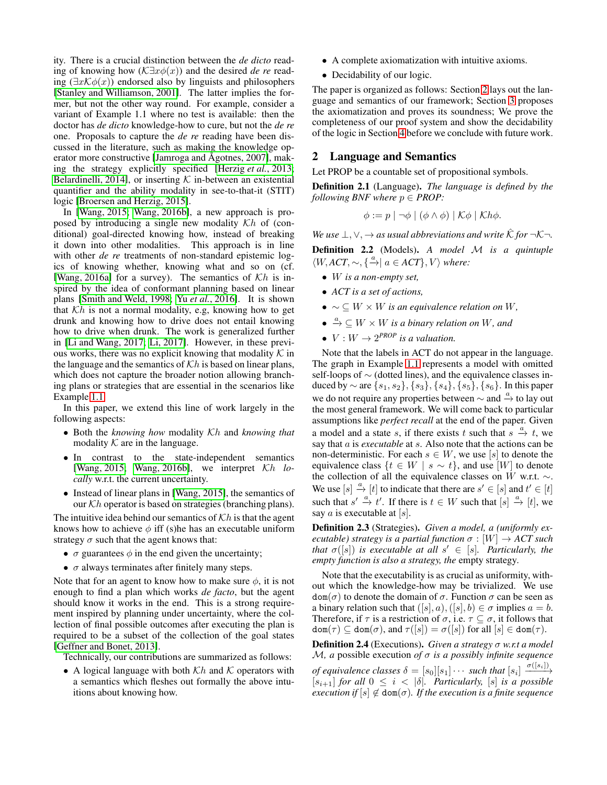ity. There is a crucial distinction between the *de dicto* reading of knowing how (K∃xφ(x)) and the desired *de re* reading  $(\exists x \mathcal{K} \phi(x))$  endorsed also by linguists and philosophers [\[Stanley and Williamson, 2001\]](#page-7-11). The latter implies the former, but not the other way round. For example, consider a variant of Example 1.1 where no test is available: then the doctor has *de dicto* knowledge-how to cure, but not the *de re* one. Proposals to capture the *de re* reading have been discussed in the literature, such as making the knowledge operator more constructive [Jamroga and Ågotnes, 2007], making the strategy explicitly specified [\[Herzig](#page-7-12) *et al.*, 2013; [Belardinelli, 2014\]](#page-7-13), or inserting  $K$  in-between an existential quantifier and the ability modality in see-to-that-it (STIT) logic [\[Broersen and Herzig, 2015\]](#page-7-14).

In [\[Wang, 2015;](#page-7-15) [Wang, 2016b\]](#page-7-16), a new approach is proposed by introducing a single new modality  $Kh$  of (conditional) goal-directed knowing how, instead of breaking it down into other modalities. This approach is in line with other *de re* treatments of non-standard epistemic logics of knowing whether, knowing what and so on (cf. [\[Wang, 2016a\]](#page-7-17) for a survey). The semantics of  $Kh$  is inspired by the idea of conformant planning based on linear plans [\[Smith and Weld, 1998;](#page-7-18) Yu *et al.*[, 2016\]](#page-7-19). It is shown that  $Kh$  is not a normal modality, e.g, knowing how to get drunk and knowing how to drive does not entail knowing how to drive when drunk. The work is generalized further in [\[Li and Wang, 2017;](#page-7-20) [Li, 2017\]](#page-7-21). However, in these previous works, there was no explicit knowing that modality  $K$  in the language and the semantics of  $Kh$  is based on linear plans, which does not capture the broader notion allowing branching plans or strategies that are essential in the scenarios like Example [1.1.](#page-0-1)

In this paper, we extend this line of work largely in the following aspects:

- Both the *knowing how* modality Kh and *knowing that* modality  $K$  are in the language.
- In contrast to the state-independent semantics [\[Wang, 2015;](#page-7-15) [Wang, 2016b\]](#page-7-16), we interpret Kh *locally* w.r.t. the current uncertainty.
- Instead of linear plans in [\[Wang, 2015\]](#page-7-15), the semantics of our  $\mathcal{K}h$  operator is based on strategies (branching plans).

The intuitive idea behind our semantics of  $\mathcal{K}h$  is that the agent knows how to achieve  $\phi$  iff (s)he has an executable uniform strategy  $\sigma$  such that the agent knows that:

- $\sigma$  guarantees  $\phi$  in the end given the uncertainty;
- $\bullet$   $\sigma$  always terminates after finitely many steps.

Note that for an agent to know how to make sure  $\phi$ , it is not enough to find a plan which works *de facto*, but the agent should know it works in the end. This is a strong requirement inspired by planning under uncertainty, where the collection of final possible outcomes after executing the plan is required to be a subset of the collection of the goal states [\[Geffner and Bonet, 2013\]](#page-7-22).

Technically, our contributions are summarized as follows:

• A logical language with both  $Kh$  and  $K$  operators with a semantics which fleshes out formally the above intuitions about knowing how.

- A complete axiomatization with intuitive axioms.
- Decidability of our logic.

The paper is organized as follows: Section [2](#page-1-0) lays out the language and semantics of our framework; Section [3](#page-2-0) proposes the axiomatization and proves its soundness; We prove the completeness of our proof system and show the decidability of the logic in Section [4](#page-4-0) before we conclude with future work.

# <span id="page-1-0"></span>2 Language and Semantics

Let PROP be a countable set of propositional symbols.

Definition 2.1 (Language). *The language is defined by the following BNF where*  $p \in \text{PROP}$ *:* 

$$
\phi := p \mid \neg \phi \mid (\phi \land \phi) \mid \mathcal{K}\phi \mid \mathcal{K}h\phi.
$$

*We use*  $\perp$ ,  $\vee$ ,  $\rightarrow$  *as usual abbreviations and write*  $\hat{K}$  *for*  $\neg K\neg$ . Definition 2.2 (Models). *A model* M *is a quintuple*  $\langle W, ACT, \sim, \{\stackrel{a}{\rightarrow} | a \in ACT\}, V \rangle$  where:

- W *is a non-empty set,*
- *ACT is a set of actions,*
- ∼ ⊆ W × W *is an equivalence relation on* W*,*
- $\bullet \stackrel{a}{\rightarrow} \subseteq W \times W$  *is a binary relation on* W, and
- $V: W \rightarrow 2^{PROP}$  *is a valuation.*

Note that the labels in ACT do not appear in the language. The graph in Example [1.1](#page-0-1) represents a model with omitted self-loops of ∼ (dotted lines), and the equivalence classes induced by  $\sim$  are  $\{s_1, s_2\}, \{s_3\}, \{s_4\}, \{s_5\}, \{s_6\}.$  In this paper we do not require any properties between  $\sim$  and  $\stackrel{a}{\rightarrow}$  to lay out the most general framework. We will come back to particular assumptions like *perfect recall* at the end of the paper. Given a model and a state s, if there exists t such that  $s \stackrel{a}{\rightarrow} t$ , we say that a is *executable* at s. Also note that the actions can be non-deterministic. For each  $s \in W$ , we use [s] to denote the equivalence class  $\{t \in W \mid s \sim t\}$ , and use  $[W]$  to denote the collection of all the equivalence classes on W w.r.t.  $\sim$ . We use  $[s] \stackrel{a}{\rightarrow} [t]$  to indicate that there are  $s' \in [s]$  and  $t' \in [t]$ such that  $s' \stackrel{a}{\rightarrow} t'$ . If there is  $t \in W$  such that  $[s] \stackrel{a}{\rightarrow} [t]$ , we say  $a$  is executable at [s].

Definition 2.3 (Strategies). *Given a model, a (uniformly executable)* strategy is a partial function  $\sigma : [W] \rightarrow ACT$  such *that*  $\sigma([s])$  *is executable at all*  $s' \in [s]$ *. Particularly, the empty function is also a strategy, the* empty strategy*.*

Note that the executability is as crucial as uniformity, without which the knowledge-how may be trivialized. We use  $dom(\sigma)$  to denote the domain of  $\sigma$ . Function  $\sigma$  can be seen as a binary relation such that  $([s], a), ([s], b) \in \sigma$  implies  $a = b$ . Therefore, if  $\tau$  is a restriction of  $\sigma$ , i.e.  $\tau \subseteq \sigma$ , it follows that  $dom(\tau) \subseteq dom(\sigma)$ , and  $\tau([s]) = \sigma([s])$  for all  $[s] \in dom(\tau)$ .

Definition 2.4 (Executions). *Given a strategy* σ *w.r.t a model* M*, a* possible execution *of* σ *is a possibly infinite sequence*

*of equivalence classes*  $\delta = [s_0][s_1] \cdots$  *such that*  $[s_i] \xrightarrow{\sigma([s_i])}$  $[s_{i+1}]$  *for all*  $0 \leq i < |\delta|$ *. Particularly,*  $[s]$  *is a possible execution if*  $[s] \notin \text{dom}(\sigma)$ *. If the execution is a finite sequence*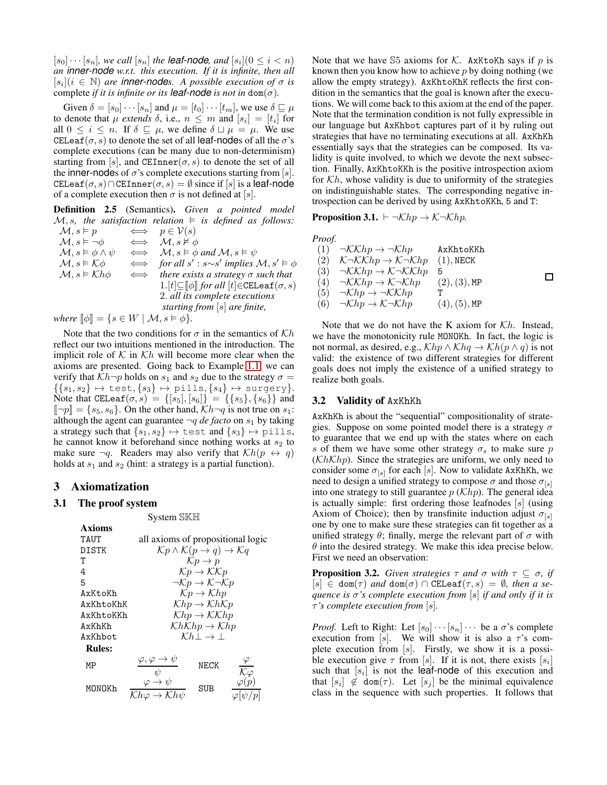$[s_0] \cdots [s_n]$ , we call  $[s_n]$  the **leaf-node**, and  $[s_i](0 \leq i < n)$ *an inner-node w.r.t. this execution. If it is infinite, then all*  $[s_i](i \in \mathbb{N})$  *are inner-nodes. A possible execution of*  $\sigma$  *is* complete *if it is infinite or its leaf-node is not in* dom( $\sigma$ ).

Given  $\delta = [s_0] \cdots [s_n]$  and  $\mu = [t_0] \cdots [t_m]$ , we use  $\delta \sqsubseteq \mu$ to denote that  $\mu$  *extends*  $\delta$ , i.e.,  $n \leq m$  and  $[s_i] = [t_i]$  for all  $0 \leq i \leq n$ . If  $\delta \sqsubseteq \mu$ , we define  $\delta \sqcup \mu = \mu$ . We use CELeaf( $\sigma$ , s) to denote the set of all leaf-nodes of all the  $\sigma$ 's complete executions (can be many due to non-determinism) starting from [s], and CEInner( $\sigma$ , s) to denote the set of all the inner-nodes of  $\sigma$ 's complete executions starting from [s]. CELeaf( $\sigma$ , s)∩CEInner( $\sigma$ , s) =  $\emptyset$  since if [s] is a leaf-node of a complete execution then  $\sigma$  is not defined at [s].

Definition 2.5 (Semantics). *Given a pointed model*  $M$ , *s*, the satisfaction relation  $\models$  is defined as follows:<br> $M \circ \models n$   $\iff n \in \mathcal{V}(s)$  $\iff n \in \mathcal{V}(n)$ 

| $J_{\mathbf{v}}$ , $J_{\mathbf{v}}$       |        | $\rightarrow$ $p \in V(3)$                                                                |
|-------------------------------------------|--------|-------------------------------------------------------------------------------------------|
| $\mathcal{M}, s \vDash \neg \phi$         |        | $\iff$ $M, s \nvDash \phi$                                                                |
| $\mathcal{M}, s \models \phi \land \psi$  |        | $\iff$ $\mathcal{M}, s \models \phi \text{ and } \mathcal{M}, s \models \psi$             |
| $\mathcal{M}, s \models \mathcal{K} \phi$ |        | $\iff$ for all s': s~s' implies $\mathcal{M}, s' \models \phi$                            |
| $\mathcal{M}, s \models \mathcal{K}h\phi$ | $\iff$ | there exists a strategy $\sigma$ such that                                                |
|                                           |        | $1.[t] \subseteq \llbracket \phi \rrbracket$ for all $[t] \in \mathtt{CELeaf}(\sigma, s)$ |
|                                           |        | 2. all its complete executions                                                            |
|                                           |        | starting from $[s]$ are finite,                                                           |
|                                           |        | $\mathcal{L} = \mathbf{I} \mathbf{I} \mathbf{I} + \mathbf{I} \mathbf{I} + \mathbf{I}$     |

*where*  $\llbracket \phi \rrbracket = \{ s \in W \mid \mathcal{M}, s \models \phi \}.$ 

Note that the two conditions for  $\sigma$  in the semantics of  $\mathcal{K}h$ reflect our two intuitions mentioned in the introduction. The implicit role of  $K$  in  $Kh$  will become more clear when the axioms are presented. Going back to Example [1.1,](#page-0-1) we can verify that  $Kh\neg p$  holds on  $s_1$  and  $s_2$  due to the strategy  $\sigma =$  $\{\{s_1, s_2\} \mapsto \texttt{test}, \{s_3\} \mapsto \texttt{pills}, \{s_4\} \mapsto \texttt{surgery}\}.$ Note that CELeaf( $\sigma$ ,  $s$ ) = {[ $s_5$ ],  $[s_6]$ } = {{ $s_5$ }, { $s_6$ }} and  $\lbrack \lbrack \neg p \rbrack \rbrack = \{s_5, s_6\}.$  On the other hand,  $\mathcal{K}h \neg q$  is not true on  $s_1$ : although the agent can guarantee  $\neg q$  *de facto* on  $s_1$  by taking a strategy such that  $\{s_1, s_2\} \mapsto$  test and  $\{s_3\} \mapsto$  pills, he cannot know it beforehand since nothing works at  $s_2$  to make sure  $\neg q$ . Readers may also verify that  $\mathcal{K}h(p \leftrightarrow q)$ holds at  $s_1$  and  $s_2$  (hint: a strategy is a partial function).

## <span id="page-2-0"></span>3 Axiomatization

#### 3.1 The proof system

System SKH

| Axioms        |                                                                             |      |                                 |  |
|---------------|-----------------------------------------------------------------------------|------|---------------------------------|--|
| TAUT          | all axioms of propositional logic                                           |      |                                 |  |
| DISTK         | $\mathcal{K}p \wedge \mathcal{K}(p \rightarrow q) \rightarrow \mathcal{K}q$ |      |                                 |  |
| Т             | $\mathcal{K}p \to p$                                                        |      |                                 |  |
| 4             | $\mathcal{K}p \to \mathcal{K}\mathcal{K}p$                                  |      |                                 |  |
| 5             | $\neg \mathcal{K} p \rightarrow \mathcal{K} \neg \mathcal{K} p$             |      |                                 |  |
| AxKtoKh       | $\mathcal{K}p \to \mathcal{K}hp$                                            |      |                                 |  |
| AxKhtoKhK     | $\mathcal{K}hp \to \mathcal{K}h\mathcal{K}p$                                |      |                                 |  |
| AxKhtoKKh     | $\mathcal{K}hp \to \mathcal{K}\mathcal{K}hp$                                |      |                                 |  |
| AxKhKh        | $\mathcal{K}h\mathcal{K}hp \to \mathcal{K}hp$                               |      |                                 |  |
| AxKhbot       | $\mathcal{K}h \perp \rightarrow \perp$                                      |      |                                 |  |
| <b>Rules:</b> |                                                                             |      |                                 |  |
| МP            | $\frac{\varphi, \varphi \to \psi}{\psi}$                                    | NECK | $\overline{\mathcal{K}}\varphi$ |  |
| MONOKh        | $\overline{\mathcal{K}h\varphi \to \mathcal{K}h\psi}$                       | SUB  |                                 |  |

Note that we have S5 axioms for K. AxKtoKh says if p is known then you know how to achieve  $p$  by doing nothing (we allow the empty strategy). AxKhtoKhK reflects the first condition in the semantics that the goal is known after the executions. We will come back to this axiom at the end of the paper. Note that the termination condition is not fully expressible in our language but AxKhbot captures part of it by ruling out strategies that have no terminating executions at all. AxKhKh essentially says that the strategies can be composed. Its validity is quite involved, to which we devote the next subsection. Finally, AxKhtoKKh is the positive introspection axiom for  $\mathcal{K}h$ , whose validity is due to uniformity of the strategies on indistinguishable states. The corresponding negative introspection can be derived by using AxKhtoKKh, 5 and T:

Proposition 3.1. ⊢ ¬Khp → K¬Khp*.*

*Proof.*

(1) 
$$
\neg KKhp \rightarrow \neg Khp
$$
 AxKhtoKKh  
\n(2)  $K \neg KKhp \rightarrow K \neg Khp$  (1), NECK  
\n(3)  $\neg KKhp \rightarrow K \neg KKhp$  5  
\n(4)  $\neg KKhp \rightarrow K \neg Khp$  (2), (3), MP  
\n(5)  $\neg Khp \rightarrow \neg KKhp$  T  
\n(6)  $\neg Khp \rightarrow K \neg Khp$  (4), (5), MP

Note that we do not have the K axiom for  $\mathcal{K}h$ . Instead, we have the monotonicity rule MONOKh. In fact, the logic is not normal, as desired, e.g.,  $\mathcal{K}hp \wedge \mathcal{K}hq \rightarrow \mathcal{K}h(p \wedge q)$  is not valid: the existence of two different strategies for different goals does not imply the existence of a unified strategy to realize both goals.

## 3.2 Validity of AxKhKh

AxKhKh is about the "sequential" compositionality of strategies. Suppose on some pointed model there is a strategy  $\sigma$ to guarantee that we end up with the states where on each s of them we have some other strategy  $\sigma_s$  to make sure p  $(KhKh)$ . Since the strategies are uniform, we only need to consider some  $\sigma_{[s]}$  for each [s]. Now to validate AxKhKh, we need to design a unified strategy to compose  $\sigma$  and those  $\sigma_{[s]}$ into one strategy to still guarantee  $p(Khp)$ . The general idea is actually simple: first ordering those leafnodes  $[s]$  (using Axiom of Choice); then by transfinite induction adjust  $\sigma_{\text{ls}}$ one by one to make sure these strategies can fit together as a unified strategy  $\theta$ ; finally, merge the relevant part of  $\sigma$  with  $\theta$  into the desired strategy. We make this idea precise below. First we need an observation:

<span id="page-2-1"></span>**Proposition 3.2.** *Given strategies*  $\tau$  *and*  $\sigma$  *with*  $\tau \subseteq \sigma$ *, if*  $[s] \in \text{dom}(\tau)$  *and*  $\text{dom}(\sigma) \cap \text{CELeaf}(\tau, s) = \emptyset$ *, then a sequence is* σ*'s complete execution from* [s] *if and only if it is* τ*'s complete execution from* [s]*.*

*Proof.* Left to Right: Let  $[s_0] \cdots [s_n] \cdots$  be a  $\sigma$ 's complete execution from [s]. We will show it is also a  $\tau$ 's complete execution from  $[s]$ . Firstly, we show it is a possible execution give  $\tau$  from [s]. If it is not, there exists [s<sub>i</sub>] such that  $[s_i]$  is not the leaf-node of this execution and that  $[s_i] \notin \text{dom}(\tau)$ . Let  $[s_j]$  be the minimal equivalence class in the sequence with such properties. It follows that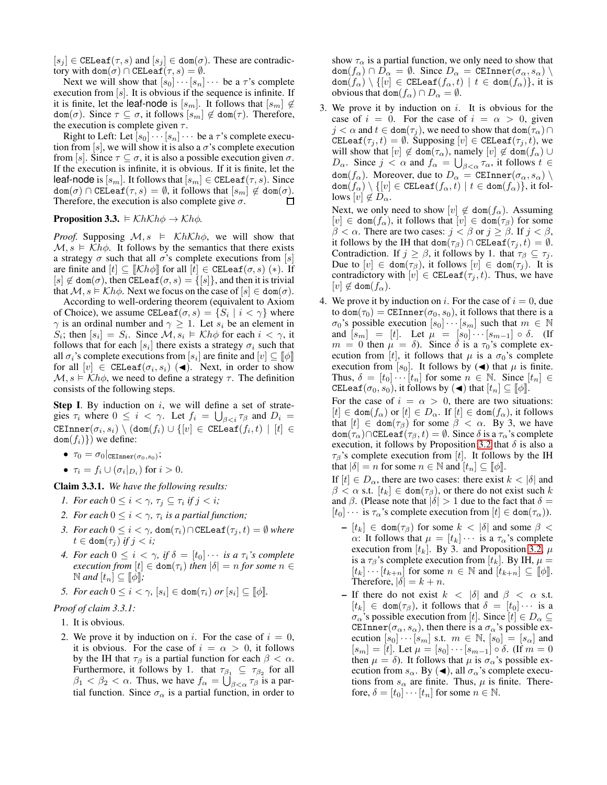$[s_j] \in \texttt{CELeaf}(\tau, s)$  and  $[s_j] \in \texttt{dom}(\sigma)$ . These are contradictory with dom $(\sigma) \cap \text{CELeaf}(\tau, s) = \emptyset$ .

Next we will show that  $[s_0] \cdots [s_n] \cdots$  be a  $\tau$ 's complete execution from  $[s]$ . It is obvious if the sequence is infinite. If it is finite, let the leaf-node is  $[s_m]$ . It follows that  $[s_m] \notin$  $dom(\sigma)$ . Since  $\tau \subseteq \sigma$ , it follows  $[s_m] \notin dom(\tau)$ . Therefore, the execution is complete given  $\tau$ .

Right to Left: Let  $[s_0] \cdots [s_n] \cdots$  be a  $\tau$ 's complete execution from [s], we will show it is also a  $\sigma$ 's complete execution from [s]. Since  $\tau \subseteq \sigma$ , it is also a possible execution given  $\sigma$ . If the execution is infinite, it is obvious. If it is finite, let the leaf-node is  $[s_m]$ . It follows that  $[s_m] \in \texttt{CELeaf}(\tau, s)$ . Since  $\texttt{dom}(\sigma) \cap \texttt{CELeaf}(\tau,s) = \emptyset$ , it follows that  $[s_m] \notin \texttt{dom}(\sigma)$ . Therefore, the execution is also complete give  $\sigma$ . □

**Proposition 3.3.**  $\models$  KhKh $\phi \rightarrow$  Kh $\phi$ .

*Proof.* Supposing  $M, s \models \mathcal{K}h\mathcal{K}h\phi$ , we will show that  $M, s \models Kh\phi$ . It follows by the semantics that there exists a strategy  $\sigma$  such that all  $\sigma$ 's complete executions from [s] are finite and  $[t] \subseteq \llbracket \mathcal{K}h\phi \rrbracket$  for all  $[t] \in \texttt{CELeaf}(\sigma, s)$  (\*). If  $[s] \notin \text{dom}(\sigma)$ , then CELeaf $(\sigma, s) = \{ [s] \}$ , and then it is trivial that  $M$ ,  $s \models Kh\phi$ . Next we focus on the case of  $[s] \in \text{dom}(\sigma)$ .

According to well-ordering theorem (equivalent to Axiom of Choice), we assume CELeaf $(\sigma, s) = \{S_i \mid i < \gamma\}$  where  $\gamma$  is an ordinal number and  $\gamma \geq 1$ . Let  $s_i$  be an element in  $S_i$ ; then  $[s_i] = S_i$ . Since  $\mathcal{M}, s_i \models \mathcal{K}h\phi$  for each  $i < \gamma$ , it follows that for each  $[s_i]$  there exists a strategy  $\sigma_i$  such that all  $\sigma_i$ 's complete executions from  $[s_i]$  are finite and  $[v] \subseteq [\![\phi]\!]$ for all  $[v] \in \texttt{CELeaf}(\sigma_i, s_i)$  (<). Next, in order to show  $\mathcal{M}, s \models \mathcal{K}h\phi$ , we need to define a strategy  $\tau$ . The definition consists of the following steps.

**Step I.** By induction on  $i$ , we will define a set of strategies  $\tau_i$  where  $0 \leq i < \gamma$ . Let  $f_i = \bigcup_{\beta < i} \tau_\beta$  and  $D_i =$  $\texttt{CEInner}(\sigma_i, s_i) \setminus (\texttt{dom}(f_i) \cup \{[v] \in \texttt{CELeaf}(f_i, t) \, \mid \, [t] \in$  $dom(f_i)$ ) we define:

- $\bullet~~ \tau_0 = \sigma_0|_{\texttt{CEInner}(\sigma_0, s_0)};$
- $\tau_i = f_i \cup (\sigma_i|_{D_i})$  for  $i > 0$ .

<span id="page-3-0"></span>Claim 3.3.1. *We have the following results:*

- *1. For each*  $0 \leq i < \gamma$ ,  $\tau_j \subseteq \tau_i$  if  $j < i$ ;
- 2. For each  $0 \leq i < \gamma$ ,  $\tau_i$  is a partial function;
- *3. For each*  $0 \leq i < \gamma$ ,  $\text{dom}(\tau_i) \cap \text{CELeaf}(\tau_j, t) = \emptyset$  *where*  $t \in \text{dom}(\tau_i)$  *if*  $j < i$ ;
- *4. For each*  $0 \leq i < \gamma$ , if  $\delta = [t_0] \cdots$  *is a*  $\tau_i$ *'s complete execution from*  $[t] \in \text{dom}(\tau_i)$  *then*  $|\delta| = n$  *for some*  $n \in$  $\mathbb{N}$  *and*  $[t_n] \subseteq [\![\phi]\!]$ ;
- *5. For each*  $0 \leq i < \gamma$ ,  $[s_i] \in \text{dom}(\tau_i)$  *or*  $[s_i] \subseteq [\![\phi]\!]$ *.*

#### *Proof of claim 3.3.1:*

1. It is obvious.

2. We prove it by induction on i. For the case of  $i = 0$ , it is obvious. For the case of  $i = \alpha > 0$ , it follows by the IH that  $\tau_\beta$  is a partial function for each  $\beta < \alpha$ . Furthermore, it follows by 1. that  $\tau_{\beta_1} \subseteq \tau_{\beta_2}$  for all  $\beta_1 < \beta_2 < \alpha$ . Thus, we have  $f_{\alpha} = \bigcup_{\beta < \alpha} \tau_{\beta}$  is a partial function. Since  $\sigma_{\alpha}$  is a partial function, in order to show  $\tau_{\alpha}$  is a partial function, we only need to show that  $\text{dom}(f_{\alpha}) \cap D_{\alpha} = \emptyset$ . Since  $D_{\alpha} = \text{CEInner}(\sigma_{\alpha}, s_{\alpha})$  $dom(f_{\alpha}) \setminus \{[v] \in \texttt{CELeaf}(f_{\alpha}, t) \mid t \in dom(f_{\alpha})\},\$ it is obvious that dom $(f_{\alpha}) \cap D_{\alpha} = \emptyset$ .

3. We prove it by induction on  $i$ . It is obvious for the case of  $i = 0$ . For the case of  $i = \alpha > 0$ , given  $j < \alpha$  and  $t \in \text{dom}(\tau_j)$ , we need to show that  $\text{dom}(\tau_\alpha) \cap$ CELeaf( $\tau_j, t$ ) =  $\emptyset$ . Supposing  $[v] \in \texttt{CELeaf}(\tau_j, t)$ , we will show that  $[v] \notin \text{dom}(\tau_\alpha)$ , namely  $[v] \notin \text{dom}(f_\alpha) \cup$  $D_{\alpha}$ . Since  $j < \alpha$  and  $f_{\alpha} = \bigcup_{\beta < \alpha} \tau_{\alpha}$ , it follows  $t \in$  $\text{dom}(f_{\alpha})$ . Moreover, due to  $D_{\alpha} = \text{CEInner}(\sigma_{\alpha}, s_{\alpha})$  $\text{dom}(f_{\alpha}) \setminus \{[v] \in \texttt{CELeaf}(f_{\alpha}, t) \mid t \in \text{dom}(f_{\alpha})\},\text{it fol-}$ lows  $[v] \notin D_{\alpha}$ .

Next, we only need to show  $[v] \notin \text{dom}(f_\alpha)$ . Assuming  $[v] \in \text{dom}(f_\alpha)$ , it follows that  $[v] \in \text{dom}(\tau_\beta)$  for some  $\beta < \alpha$ . There are two cases:  $j < \beta$  or  $j \ge \beta$ . If  $j < \beta$ , it follows by the IH that dom( $\tau_{\beta}$ ) ∩ CELeaf( $\tau_i, t$ ) =  $\emptyset$ . Contradiction. If  $j \ge \beta$ , it follows by 1. that  $\tau_{\beta} \subseteq \tau_j$ . Due to  $[v] \in \text{dom}(\tau_\beta)$ , it follows  $[v] \in \text{dom}(\tau_j)$ . It is contradictory with  $[v] \in \texttt{CELeaf}(\tau_i, t)$ . Thus, we have  $|v| \notin \text{dom}(f_{\alpha}).$ 

4. We prove it by induction on i. For the case of  $i = 0$ , due to dom $(\tau_0)$  = CEInner $(\sigma_0, s_0)$ , it follows that there is a  $\sigma_0$ 's possible execution  $[s_0] \cdots [s_m]$  such that  $m \in \mathbb{N}$ and  $[s_m] = [t]$ . Let  $\mu = [s_0] \cdots [s_{m-1}] \circ \delta$ . (If  $m = 0$  then  $\mu = \delta$ ). Since  $\delta$  is a  $\tau_0$ 's complete execution from [t], it follows that  $\mu$  is a  $\sigma_0$ 's complete execution from [ $s_0$ ]. It follows by ( $\triangleleft$ ) that  $\mu$  is finite. Thus,  $\delta = [t_0] \cdots [t_n]$  for some  $n \in \mathbb{N}$ . Since  $[t_n] \in$ CELeaf( $\sigma_0$ ,  $s_0$ ), it follows by ( $\blacktriangleleft$ ) that  $[t_n] \subseteq \llbracket \phi \rrbracket$ .

For the case of  $i = \alpha > 0$ , there are two situations:  $[t] \in \text{dom}(f_\alpha)$  or  $[t] \in D_\alpha$ . If  $[t] \in \text{dom}(f_\alpha)$ , it follows that  $[t] \in \text{dom}(\tau_\beta)$  for some  $\beta < \alpha$ . By 3, we have  $dom(\tau_{\alpha}) \cap \text{CELeaf}(\tau_{\beta}, t) = \emptyset$ . Since  $\delta$  is a  $\tau_{\alpha}$ 's complete execution, it follows by Proposition [3.2](#page-2-1) that  $\delta$  is also a  $\tau_\beta$ 's complete execution from [t]. It follows by the IH that  $|\delta| = n$  for some  $n \in \mathbb{N}$  and  $[t_n] \subseteq [\![\phi]\!]$ .

If  $[t] \in D_{\alpha}$ , there are two cases: there exist  $k < |\delta|$  and  $\beta < \alpha$  s.t.  $[t_k] \in \text{dom}(\tau_\beta)$ , or there do not exist such k and  $\beta$ . (Please note that  $|\delta| > 1$  due to the fact that  $\delta =$  $[t_0] \cdots$  is  $\tau_\alpha$ 's complete execution from  $[t] \in \text{dom}(\tau_\alpha)$ ).

- $-[t_k] \in \text{dom}(\tau_\beta)$  for some  $k < |\delta|$  and some  $\beta <$ α: It follows that  $\mu = [t_k] \cdots$  is a  $\tau_\alpha$ 's complete execution from  $[t_k]$ . By 3. and Proposition [3.2,](#page-2-1)  $\mu$ is a  $\tau_\beta$ 's complete execution from [t<sub>k</sub>]. By IH,  $\mu =$  $[t_k] \cdots [t_{k+n}]$  for some  $n \in \mathbb{N}$  and  $[t_{k+n}] \subseteq [\![\phi]\!]$ . Therefore,  $|\delta| = k + n$ .
- If there do not exist  $k < |\delta|$  and  $\beta < \alpha$  s.t.  $[t_k] \in \text{dom}(\tau_\beta)$ , it follows that  $\delta = [t_0] \cdots$  is a  $\sigma_{\alpha}$ 's possible execution from [t]. Since  $[t] \in D_{\alpha} \subseteq$ CEInner( $\sigma_{\alpha}$ ,  $s_{\alpha}$ ), then there is a  $\sigma_{\alpha}$ 's possible execution  $[s_0] \cdots [s_m]$  s.t.  $m \in \mathbb{N}$ ,  $[s_0] = [s_\alpha]$  and  $[s_m] = [t]$ . Let  $\mu = [s_0] \cdots [s_{m-1}] \circ \delta$ . (If  $m = 0$ then  $\mu = \delta$ ). It follows that  $\mu$  is  $\sigma_{\alpha}$ 's possible execution from  $s_{\alpha}$ . By ( $\triangleleft$ ), all  $\sigma_{\alpha}$ 's complete executions from  $s_{\alpha}$  are finite. Thus,  $\mu$  is finite. Therefore,  $\delta = [t_0] \cdots [t_n]$  for some  $n \in \mathbb{N}$ .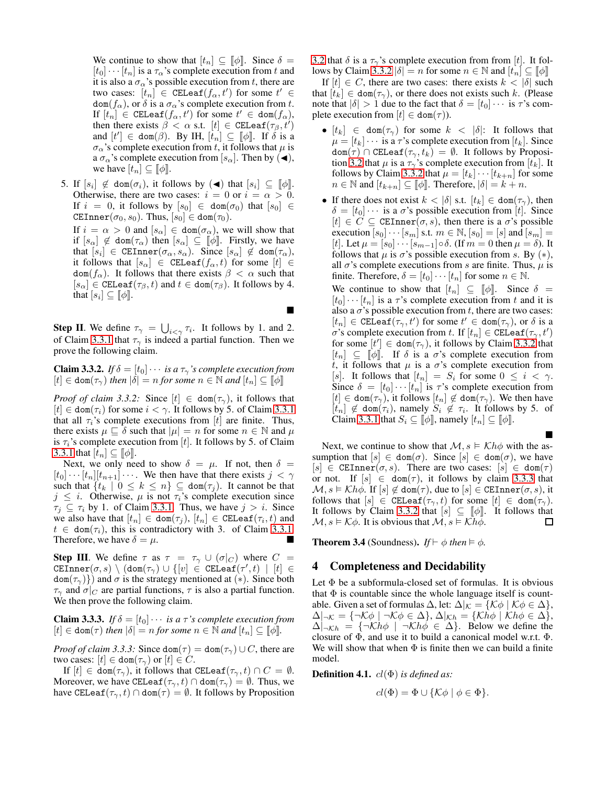We continue to show that  $[t_n] \subseteq \llbracket \phi \rrbracket$ . Since  $\delta =$  $[t_0] \cdots [t_n]$  is a  $\tau_\alpha$ 's complete execution from t and it is also a  $\sigma_{\alpha}$ 's possible execution from t, there are two cases:  $\overline{\left[t_n\right]} \in \texttt{CELeaf}(f_\alpha, t')$  for some  $t' \in$  $\text{dom}(f_{\alpha})$ , or  $\delta$  is a  $\sigma_{\alpha}$ 's complete execution from t. If  $[t_n] \in \texttt{CELeaf}(f_\alpha, t')$  for some  $t' \in \texttt{dom}(f_\alpha)$ , then there exists  $\beta < \alpha$  s.t.  $[t] \in \text{CELeaf}(\tau_\beta, t')$ and  $[t'] \in \text{dom}(\beta)$ . By IH,  $[t_n] \subseteq [\![\phi]\!]$ . If  $\delta$  is a  $\sigma_{\alpha}$ 's complete execution from t, it follows that  $\mu$  is a  $\sigma_{\alpha}$ 's complete execution from [ $s_{\alpha}$ ]. Then by ( $\blacktriangleleft$ ), we have  $[t_n] \subseteq \llbracket \phi \rrbracket$ .

5. If  $[s_i] \notin \text{dom}(\sigma_i)$ , it follows by  $(\blacktriangleleft)$  that  $[s_i] \subseteq [\![\phi]\!]$ . Otherwise, there are two cases:  $i = 0$  or  $i = \alpha > 0$ . If  $i = 0$ , it follows by  $[s_0] \in \text{dom}(\sigma_0)$  that  $[s_0] \in$ CEInner( $\sigma_0$ ,  $s_0$ ). Thus,  $[s_0] \in \text{dom}(\tau_0)$ .

If  $i = \alpha > 0$  and  $[s_\alpha] \in \text{dom}(\sigma_\alpha)$ , we will show that if  $[s_\alpha] \notin \text{dom}(\tau_\alpha)$  then  $[s_\alpha] \subseteq [\![\phi]\!]$ . Firstly, we have that  $[s_i] \in \text{CEInner}(\sigma_\alpha, s_\alpha)$ . Since  $[s_\alpha] \notin \text{dom}(\tau_\alpha)$ , it follows that  $[s_\alpha] \in \texttt{CELeaf}(f_\alpha, t)$  for some  $[t] \in$  $dom(f_\alpha)$ . It follows that there exists  $\beta < \alpha$  such that  $[s_\alpha] \in \texttt{CELeaf}(\tau_\beta, t)$  and  $t \in \texttt{dom}(\tau_\beta)$ . It follows by 4. that  $[s_i] \subseteq [\![\phi]\!]$ .

Ë

**Step II**. We define  $\tau_{\gamma} = \bigcup_{i < \gamma} \tau_i$ . It follows by 1. and 2. of Claim [3.3.1](#page-3-0) that  $\tau_{\gamma}$  is indeed a partial function. Then we prove the following claim.

<span id="page-4-1"></span>**Claim 3.3.2.** *If*  $\delta = [t_0] \cdots$  *is a*  $\tau_\gamma$ *'s complete execution from*  $[t] \in \text{dom}(\tau_{\gamma})$  *then*  $|\delta| = n$  *for some*  $n \in \mathbb{N}$  *and*  $[t_n] \subseteq [\![\phi]\!]$ 

*Proof of claim 3.3.2:* Since  $[t] \in \text{dom}(\tau_{\gamma})$ , it follows that  $[t] \in \text{dom}(\tau_i)$  for some  $i < \gamma$ . It follows by 5. of Claim [3.3.1](#page-3-0) that all  $\tau_i$ 's complete executions from [t] are finite. Thus, there exists  $\mu \sqsubseteq \delta$  such that  $|\mu| = n$  for some  $n \in \mathbb{N}$  and  $\mu$ is  $\tau_i$ 's complete execution from [t]. It follows by 5. of Claim [3.3.1](#page-3-0) that  $[t_n] \subseteq [\![\phi]\!]$ .

Next, we only need to show  $\delta = \mu$ . If not, then  $\delta =$  $[t_0] \cdots [t_n][t_{n+1}] \cdots$ . We then have that there exists  $j < \gamma$ such that  $\{t_k | 0 \leq k \leq n\} \subseteq \text{dom}(\tau_j)$ . It cannot be that  $j \leq i$ . Otherwise,  $\mu$  is not  $\tau_i$ 's complete execution since  $\tau_j \subseteq \tau_i$  by 1. of Claim [3.3.1.](#page-3-0) Thus, we have  $j > i$ . Since we also have that  $[t_n] \in \text{dom}(\tau_j)$ ,  $[t_n] \in \text{CELeaf}(\tau_i, t)$  and  $t \in \text{dom}(\tau_i)$ , this is contradictory with 3. of Claim [3.3.1.](#page-3-0) Therefore, we have  $\delta = \mu$ .

**Step III.** We define  $\tau$  as  $\tau = \tau_{\gamma} \cup (\sigma|_{C})$  where  $C =$  $\texttt{CEInner}(\sigma,s) \,\setminus\, (\texttt{dom}(\tau_{\gamma}) \,\cup\, \{[v] \,\in\, \texttt{CELeaf}(\tau',t) \,\mid\, [t] \,\in\,$  $dom(\tau_{\gamma})$ ) and  $\sigma$  is the strategy mentioned at (\*). Since both  $\tau_{\gamma}$  and  $\sigma|_{C}$  are partial functions,  $\tau$  is also a partial function. We then prove the following claim.

<span id="page-4-2"></span>**Claim 3.3.3.** *If*  $\delta = [t_0] \cdots$  *is a*  $\tau$ *'s complete execution from*  $[t] \in \text{dom}(\tau)$  *then*  $|\delta| = n$  *for some*  $n \in \mathbb{N}$  *and*  $[t_n] \subseteq [\![\phi]\!]$ *.* 

*Proof of claim 3.3.3:* Since  $\text{dom}(\tau) = \text{dom}(\tau) \cup C$ , there are two cases:  $[t] \in \text{dom}(\tau_{\gamma})$  or  $[t] \in C$ .

If  $[t] \in \text{dom}(\tau_{\gamma})$ , it follows that CELeaf $(\tau_{\gamma}, t) \cap C = \emptyset$ . Moreover, we have CELeaf( $\tau_{\gamma}, t$ )  $\cap$  dom( $\tau_{\gamma}$ ) =  $\emptyset$ . Thus, we have CELeaf( $\tau_{\gamma}, t$ ) ∩ dom( $\tau$ ) =  $\emptyset$ . It follows by Proposition [3.2](#page-2-1) that  $\delta$  is a  $\tau_{\gamma}$ 's complete execution from from [t]. It fol-lows by Claim [3.3.2](#page-4-1)  $|\delta| = n$  for some  $n \in \mathbb{N}$  and  $[t_n] \subseteq [\![\phi]\!]$ 

If  $[t] \in C$ , there are two cases: there exists  $k < |\delta|$  such that  $[t_k] \in \text{dom}(\tau_\gamma)$ , or there does not exists such k. (Please note that  $|\delta| > 1$  due to the fact that  $\delta = [t_0] \cdots$  is  $\tau$ 's complete execution from  $|t| \in \text{dom}(\tau)$ ).

- $[t_k] \in \text{dom}(\tau_\gamma)$  for some  $k < |\delta|$ : It follows that  $\mu = [t_k] \cdots$  is a  $\tau$ 's complete execution from  $[t_k]$ . Since  $dom(\tau) \cap CELeaf(\tau_{\gamma}, t_k) = \emptyset$ . It follows by Proposi-tion [3.2](#page-2-1) that  $\mu$  is a  $\tau_{\gamma}$ 's complete execution from [ $t_k$ ]. It follows by Claim [3.3.2](#page-4-1) that  $\mu = [t_k] \cdots [t_{k+n}]$  for some  $n \in \mathbb{N}$  and  $[t_{k+n}] \subseteq [\![\phi]\!]$ . Therefore,  $|\delta| = k + n$ .
- If there does not exist  $k < |\delta|$  s.t.  $[t_k] \in \text{dom}(\tau_\gamma)$ , then  $\delta = [t_0] \cdots$  is a  $\sigma$ 's possible execution from [t]. Since  $[t] \in C \subseteq \text{CEInner}(\sigma, s)$ , then there is a  $\sigma$ 's possible execution  $[s_0] \cdots [s_m]$  s.t.  $m \in \mathbb{N}$ ,  $[s_0] = [s]$  and  $[s_m] =$ [t]. Let  $\mu = [s_0] \cdots [s_{m-1}] \circ \delta$ . (If  $m = 0$  then  $\mu = \delta$ ). It follows that  $\mu$  is  $\sigma$ 's possible execution from s. By  $(*),$ all  $\sigma$ 's complete executions from s are finite. Thus,  $\mu$  is finite. Therefore,  $\delta = [t_0] \cdots [t_n]$  for some  $n \in \mathbb{N}$ . We continue to show that  $[t_n] \subseteq \llbracket \phi \rrbracket$ . Since  $\delta =$  $[t_0] \cdots [t_n]$  is a  $\tau$ 's complete execution from t and it is also a  $\sigma$ 's possible execution from t, there are two cases:  $[t_n] \in \texttt{CELeaf}(\tau_\gamma, t')$  for some  $t' \in \texttt{dom}(\tau_\gamma)$ , or  $\delta$  is a  $\sigma$ 's complete execution from t. If  $[t_n] \in \text{CELeaf}(\tau_\gamma, t')$ for some  $[t'] \in \text{dom}(\tau_{\gamma})$ , it follows by Claim [3.3.2](#page-4-1) that  $[t_n] \subseteq [\![\phi]\!]$ . If  $\delta$  is a  $\sigma$ 's complete execution from t, it follows that  $\mu$  is a  $\sigma$ 's complete execution from [s]. It follows that  $[t_n] = S_i$  for some  $0 \leq i < \gamma$ . Since  $\delta = [t_0] \cdots [t_n]$  is  $\tau$ 's complete execution from  $[t] \in \text{dom}(\tau_{\gamma})$ , it follows  $[t_n] \notin \text{dom}(\tau_{\gamma})$ . We then have  $[t_n] \notin \text{dom}(\tau_i)$ , namely  $S_i \notin \tau_i$ . It follows by 5. of

Next, we continue to show that  $\mathcal{M}, s \models \mathcal{K}h\phi$  with the assumption that  $[s] \in \text{dom}(\sigma)$ . Since  $[s] \in \text{dom}(\sigma)$ , we have  $[s] \in \text{CEInner}(\sigma, s)$ . There are two cases:  $[s] \in \text{dom}(\tau)$ or not. If  $[s] \in \text{dom}(\tau)$ , it follows by claim [3.3.3](#page-4-2) that  $\mathcal{M}, s \models \mathcal{K}h\phi$ . If  $[s] \notin \text{dom}(\tau)$ , due to  $[s] \in \text{CEInner}(\sigma, s)$ , it follows that  $[s] \in \texttt{CELeaf}(\tau_{\gamma}, t)$  for some  $[t] \in \texttt{dom}(\tau_{\gamma})$ . It follows by Claim [3.3.2](#page-4-1) that  $[s] \subseteq [\![\phi]\!]$ . It follows that  $\mathcal{M}, s \models \mathcal{K}\phi$ . It is obvious that  $\mathcal{M}, s \models \mathcal{K}h\phi$ . □

 $\blacksquare$ 

Claim [3.3.1](#page-3-0) that  $S_i \subseteq [\![\phi]\!]$ , namely  $[t_n] \subseteq [\![\phi]\!]$ .

**Theorem 3.4** (Soundness). *If*  $\vdash \phi$  *then*  $\models \phi$ .

### <span id="page-4-0"></span>4 Completeness and Decidability

Let  $\Phi$  be a subformula-closed set of formulas. It is obvious that  $\Phi$  is countable since the whole language itself is countable. Given a set of formulas  $\Delta$ , let:  $\Delta|_{\mathcal{K}} = {\mathcal{K}\phi \mid \mathcal{K}\phi \in \Delta}$ ,  $\Delta|_{\neg \mathcal{K}} = {\neg \mathcal{K} \phi \mid \neg \mathcal{K} \phi \in \Delta}, \Delta|_{\mathcal{Kh}} = {\mathcal{K} h \phi \mid \mathcal{Kh} \phi \in \Delta},$  $\Delta|_{\neg \mathcal{K}h} = \{\neg \mathcal{K}h\phi \mid \neg \mathcal{K}h\phi \in \Delta\}$ . Below we define the closure of Φ, and use it to build a canonical model w.r.t. Φ. We will show that when  $\Phi$  is finite then we can build a finite model.

<span id="page-4-3"></span>Definition 4.1. cl(Φ) *is defined as:*

$$
cl(\Phi) = \Phi \cup \{ \mathcal{K}\phi \mid \phi \in \Phi \}.
$$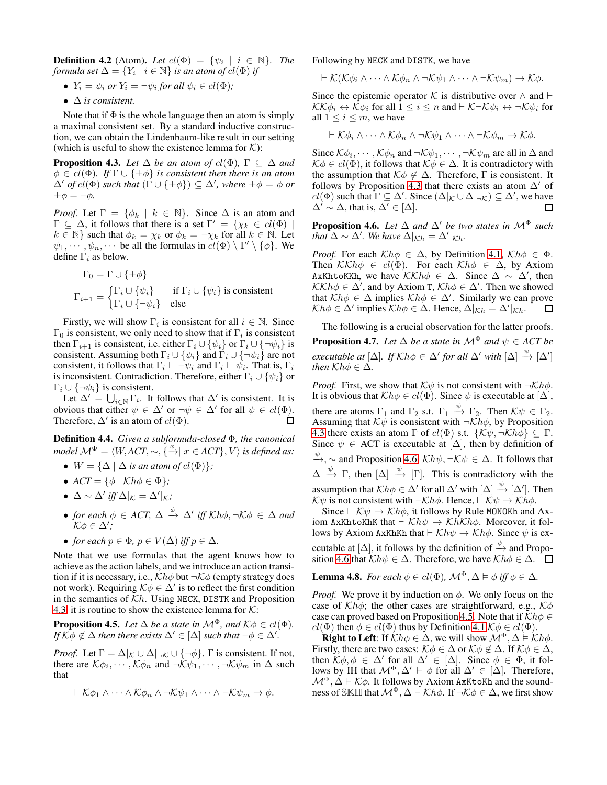**Definition 4.2** (Atom). Let  $cl(\Phi) = \{\psi_i \mid i \in \mathbb{N}\}\$ . The *formula set*  $\Delta = \{Y_i \mid i \in \mathbb{N}\}$  *is an atom of cl*( $\Phi$ ) *if* 

- $Y_i = \psi_i$  or  $Y_i = \neg \psi_i$  for all  $\psi_i \in cl(\Phi)$ ;
- ∆ *is consistent.*

Note that if  $\Phi$  is the whole language then an atom is simply a maximal consistent set. By a standard inductive construction, we can obtain the Lindenbaum-like result in our setting (which is useful to show the existence lemma for  $K$ ):

<span id="page-5-0"></span>**Proposition 4.3.** *Let*  $\Delta$  *be an atom of*  $cl(\Phi)$ ,  $\Gamma \subseteq \Delta$  *and*  $\phi \in cl(\Phi)$ *. If*  $\Gamma \cup {\{\pm \phi\}}$  *is consistent then there is an atom*  $\Delta'$  *of cl*( $\Phi$ ) *such that*  $(\Gamma \cup \{\pm \phi\}) \subseteq \Delta'$ , where  $\pm \phi = \phi$  *or*  $\pm\phi=\neg\phi$ .

*Proof.* Let  $\Gamma = \{\phi_k \mid k \in \mathbb{N}\}\$ . Since  $\Delta$  is an atom and  $\Gamma \subseteq \Delta$ , it follows that there is a set  $\Gamma' = \{ \chi_k \in cl(\Phi) \mid \Psi \}$  $k \in \mathbb{N}$  such that  $\phi_k = \chi_k$  or  $\phi_k = \neg \chi_k$  for all  $k \in \mathbb{N}$ . Let  $\psi_1, \dots, \psi_n, \dots$  be all the formulas in  $cl(\Phi) \setminus \Gamma' \setminus \{\phi\}$ . We define  $\Gamma_i$  as below.

$$
\Gamma_0 = \Gamma \cup \{\pm \phi\}
$$
\n
$$
\Gamma_{i+1} = \begin{cases}\n\Gamma_i \cup \{\psi_i\} & \text{if } \Gamma_i \cup \{\psi_i\} \text{ is consistent} \\
\Gamma_i \cup \{\neg \psi_i\} & \text{else}\n\end{cases}
$$

Firstly, we will show  $\Gamma_i$  is consistent for all  $i \in \mathbb{N}$ . Since  $\Gamma_0$  is consistent, we only need to show that if  $\Gamma_i$  is consistent then  $\Gamma_{i+1}$  is consistent, i.e. either  $\Gamma_i \cup \{\psi_i\}$  or  $\Gamma_i \cup \{\neg \psi_i\}$  is consistent. Assuming both  $\Gamma_i \cup \{\psi_i\}$  and  $\Gamma_i \cup \{\neg \psi_i\}$  are not consistent, it follows that  $\Gamma_i \vdash \neg \psi_i$  and  $\Gamma_i \vdash \psi_i$ . That is,  $\Gamma_i$ is inconsistent. Contradiction. Therefore, either  $\Gamma_i \cup {\psi_i}$  or  $\Gamma_i \cup \{\neg \psi_i\}$  is consistent.

Let  $\Delta' = \bigcup_{i \in \mathbb{N}} \Gamma_i$ . It follows that  $\Delta'$  is consistent. It is obvious that either  $\psi \in \Delta'$  or  $\neg \psi \in \Delta'$  for all  $\psi \in cl(\Phi)$ . Therefore,  $\Delta'$  is an atom of  $cl(\Phi)$ .  $\Box$ 

Definition 4.4. *Given a subformula-closed* Φ*, the canonical model*  $\mathcal{M}^{\Phi} = \langle W, ACT, \sim, \{ \stackrel{x}{\rightarrow} \mid x \in ACT \}, V \rangle$  *is defined as:* 

- $W = {\Delta | \Delta$  *is an atom of cl*( $\Phi$ )};
- $ACT = \{\phi \mid Kh\phi \in \Phi\}$ ;
- $\Delta \sim \Delta'$  *iff*  $\Delta|_{\mathcal{K}} = \Delta'|_{\mathcal{K}}$ *;*
- *for each*  $\phi \in ACT$ ,  $\Delta \stackrel{\phi}{\rightarrow} \Delta'$  *iff*  $Kh\phi$ ,  $\neg K\phi \in \Delta$  *and*  $K\phi \in \Delta';$
- *for each*  $p \in \Phi$ *,*  $p \in V(\Delta)$  *iff*  $p \in \Delta$ *.*

Note that we use formulas that the agent knows how to achieve as the action labels, and we introduce an action transition if it is necessary, i.e.,  $\mathcal{K}h\phi$  but  $\neg \mathcal{K}\phi$  (empty strategy does not work). Requiring  $K\phi \in \Delta'$  is to reflect the first condition in the semantics of  $\mathcal{K}h$ . Using NECK, DISTK and Proposition [4.3,](#page-5-0) it is routine to show the existence lemma for  $K$ :

<span id="page-5-2"></span>**Proposition 4.5.** *Let*  $\Delta$  *be a state in*  $\mathcal{M}^{\Phi}$ *, and*  $\mathcal{K}\phi \in cl(\Phi)$ *. If*  $K\phi \notin \Delta$  *then there exists*  $\Delta' \in [\Delta]$  *such that*  $\neg \phi \in \Delta'.$ 

*Proof.* Let  $\Gamma = \Delta |_{\mathcal{K}} \cup \Delta |_{\neg \mathcal{K}} \cup \{\neg \phi\}$ .  $\Gamma$  is consistent. If not, there are  $\mathcal{K}\phi_i, \cdots, \mathcal{K}\phi_n$  and  $\neg \mathcal{K}\psi_1, \cdots, \neg \mathcal{K}\psi_m$  in  $\Delta$  such that

$$
\vdash \mathcal{K}\phi_1 \wedge \cdots \wedge \mathcal{K}\phi_n \wedge \neg \mathcal{K}\psi_1 \wedge \cdots \wedge \neg \mathcal{K}\psi_m \rightarrow \phi.
$$

Following by NECK and DISTK, we have

 $\vdash \mathcal{K}(\mathcal{K}\phi_i \wedge \cdots \wedge \mathcal{K}\phi_n \wedge \neg \mathcal{K}\psi_1 \wedge \cdots \wedge \neg \mathcal{K}\psi_m) \rightarrow \mathcal{K}\phi.$ 

Since the epistemic operator K is distributive over  $\land$  and  $\vdash$  $\mathcal{KK}\phi_i \leftrightarrow \mathcal{K}\phi_i$  for all  $1 \leq i \leq n$  and  $\vdash \mathcal{K} \neg \mathcal{K} \psi_i \leftrightarrow \neg \mathcal{K} \psi_i$  for all  $1 \leq i \leq m$ , we have

$$
\vdash \mathcal{K}\phi_i \wedge \cdots \wedge \mathcal{K}\phi_n \wedge \neg \mathcal{K}\psi_1 \wedge \cdots \wedge \neg \mathcal{K}\psi_m \rightarrow \mathcal{K}\phi.
$$

Since  $\mathcal{K}\phi_i,\cdots,\mathcal{K}\phi_n$  and  $\neg \mathcal{K}\psi_1,\cdots,\neg \mathcal{K}\psi_m$  are all in  $\Delta$  and  $K\phi \in cl(\Phi)$ , it follows that  $K\phi \in \Delta$ . It is contradictory with the assumption that  $K\phi \notin \Delta$ . Therefore, Γ is consistent. It follows by Proposition [4.3](#page-5-0) that there exists an atom  $\Delta'$  of  $cl(\Phi)$  such that  $\Gamma \subseteq \Delta'$ . Since  $(\Delta | \kappa \cup \Delta | \neg \kappa) \subseteq \Delta'$ , we have  $\Delta' \sim \Delta$ , that is,  $\Delta' \in [\Delta]$ . □

<span id="page-5-1"></span>**Proposition 4.6.** *Let*  $\Delta$  *and*  $\Delta'$  *be two states in*  $\mathcal{M}^{\Phi}$  *such that*  $\Delta \sim \Delta'$ . We have  $\Delta |_{\mathcal{K}h} = \Delta' |_{\mathcal{K}h}$ .

*Proof.* For each  $Kh\phi \in \Delta$ , by Definition [4.1,](#page-4-3)  $Kh\phi \in \Phi$ . Then  $\mathcal{K}\mathcal{K}h\phi \in cl(\Phi)$ . For each  $\mathcal{K}h\phi \in \Delta$ , by Axiom AxKhtoKKh, we have  $\mathcal{K}\mathcal{K}h\phi \in \Delta$ . Since  $\Delta \sim \Delta'$ , then  $\mathcal{K}\mathcal{K}h\phi \in \Delta'$ , and by Axiom T,  $\mathcal{K}h\phi \in \Delta'$ . Then we showed that  $\mathcal{K}h\phi \in \Delta$  implies  $\mathcal{K}h\phi \in \Delta'$ . Similarly we can prove  $\mathcal{K}h\phi \in \Delta'$  implies  $\mathcal{K}h\phi \in \Delta$ . Hence,  $\Delta|_{\mathcal{K}h} = \Delta'|_{\mathcal{K}h}$ . □

<span id="page-5-3"></span>The following is a crucial observation for the latter proofs. **Proposition 4.7.** *Let*  $\Delta$  *be a state in*  $\mathcal{M}^{\Phi}$  *and*  $\psi \in ACT$  *be executable at*  $[\Delta]$ *. If*  $Kh\phi \in \Delta'$  *for all*  $\Delta'$  *with*  $[\Delta] \stackrel{\psi}{\rightarrow} [\Delta']$ *then*  $Kh\phi \in \Delta$ *.* 

*Proof.* First, we show that  $K\psi$  is not consistent with  $\neg Kh\phi$ . It is obvious that  $\mathcal{K}h\phi \in cl(\Phi)$ . Since  $\psi$  is executable at  $[\Delta]$ , there are atoms  $\Gamma_1$  and  $\Gamma_2$  s.t.  $\Gamma_1 \stackrel{\psi}{\to} \Gamma_2$ . Then  $K\psi \in \Gamma_2$ . Assuming that  $K\psi$  is consistent with  $\neg Kh\phi$ , by Proposition [4.3](#page-5-0) there exists an atom  $\Gamma$  of  $cl(\Phi)$  s.t.  $\{\mathcal{K}\psi, \neg \mathcal{K}h\overline{\phi}\}\subseteq \Gamma$ . Since  $\psi \in$  ACT is executable at  $[\Delta]$ , then by definition of  $\psi$ ,  $\sim$  and Proposition [4.6,](#page-5-1)  $\mathcal{K}h\psi$ ,  $\neg \mathcal{K}\psi \in \Delta$ . It follows that  $\Delta \stackrel{\psi}{\rightarrow} \Gamma$ , then  $[\Delta] \stackrel{\psi}{\rightarrow} [\Gamma]$ . This is contradictory with the assumption that  $\mathcal{K}h\phi \in \Delta'$  for all  $\Delta'$  with  $[\Delta] \stackrel{\psi}{\rightarrow} [\Delta']$ . Then  $K\psi$  is not consistent with  $\neg Kh\phi$ . Hence,  $\vdash K\psi \rightarrow Kh\phi$ .

Since  $\vdash$  K $\psi$  → Kh $\phi$ , it follows by Rule MONOKh and Axiom AxKhtoKhK that  $\vdash$  Khψ → KhKh $\phi$ . Moreover, it follows by Axiom AxKhKh that  $\vdash$  Kh $\psi \rightarrow$  Kh $\phi$ . Since  $\psi$  is executable at  $[\Delta]$ , it follows by the definition of  $\stackrel{\psi}{\rightarrow}$  and Propo-sition [4.6](#page-5-1) that  $Kh\psi \in \Delta$ . Therefore, we have  $Kh\phi \in \Delta$ .  $\square$ 

**Lemma 4.8.** For each 
$$
\phi \in cl(\Phi)
$$
,  $\mathcal{M}^{\Phi}, \Delta \vDash \phi$  iff  $\phi \in \Delta$ .

*Proof.* We prove it by induction on  $\phi$ . We only focus on the case of  $Kh\phi$ ; the other cases are straightforward, e.g.,  $K\phi$ case can proved based on Proposition [4.5.](#page-5-2) Note that if  $\mathcal{K}h\phi \in$  $cl(\Phi)$  then  $\phi \in cl(\Phi)$  thus by Definition [4.1](#page-4-3)  $\mathcal{K}\phi \in cl(\Phi)$ .

**Right to Left:** If  $\mathcal{K}h\phi \in \Delta$ , we will show  $\mathcal{M}^{\Phi}, \Delta \models \mathcal{K}h\phi$ . Firstly, there are two cases:  $K\phi \in \Delta$  or  $K\phi \notin \Delta$ . If  $K\phi \in \Delta$ , then  $K\phi, \phi \in \Delta'$  for all  $\Delta' \in [\Delta]$ . Since  $\phi \in \Phi$ , it follows by IH that  $\mathcal{M}^{\Phi}, \Delta' \models \phi$  for all  $\Delta' \in [\Delta]$ . Therefore,  $\mathcal{M}^{\Phi}, \Delta \models \mathcal{K}\phi$ . It follows by Axiom AxKtoKh and the soundness of SKH that  $\mathcal{M}^{\Phi}$ ,  $\Delta \models \mathcal{K}h\phi$ . If  $\neg \mathcal{K}\phi \in \Delta$ , we first show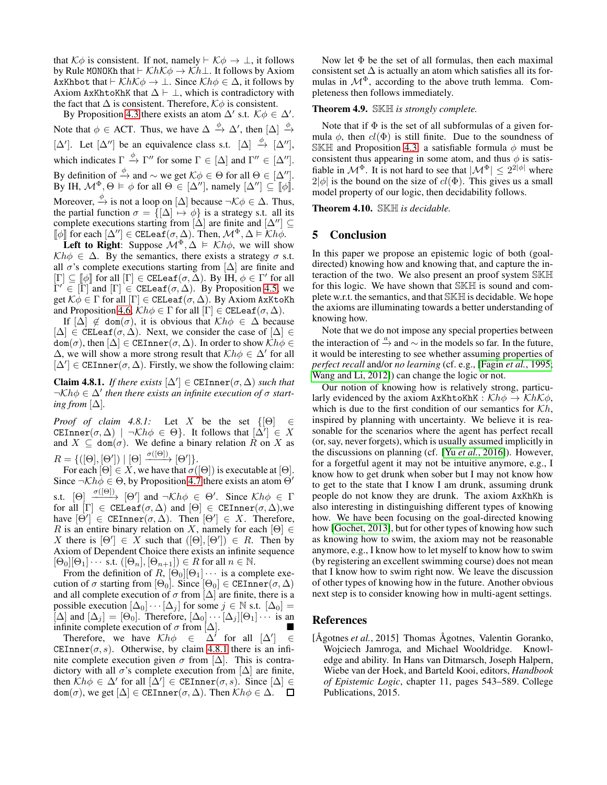that  $K\phi$  is consistent. If not, namely  $\vdash K\phi \rightarrow \bot$ , it follows by Rule MONOKh that  $\vdash$  KhK $\phi \rightarrow$  Kh⊥. It follows by Axiom AxKhbot that  $\vdash \mathcal{K}h\mathcal{K}\phi \rightarrow \bot$ . Since  $\mathcal{K}h\phi \in \Delta$ , it follows by Axiom AxKhtoKhK that  $\Delta \vdash \bot$ , which is contradictory with the fact that  $\Delta$  is consistent. Therefore,  $K\phi$  is consistent.

By Proposition [4.3](#page-5-0) there exists an atom  $\Delta'$  s.t.  $K\phi \in \Delta'$ . Note that  $\phi \in$  ACT. Thus, we have  $\Delta \stackrel{\phi}{\rightarrow} \Delta'$ , then  $[\Delta] \stackrel{\phi}{\rightarrow}$  $[\Delta']$ . Let  $[\Delta'']$  be an equivalence class s.t.  $[\Delta] \stackrel{\phi}{\to} [\Delta'']$ , which indicates  $\Gamma \xrightarrow{\phi} \Gamma''$  for some  $\Gamma \in [\Delta]$  and  $\Gamma'' \in [\Delta'']$ . By definition of  $\stackrel{\phi}{\to}$  and  $\sim$  we get  $K\phi \in \Theta$  for all  $\Theta \in [\Delta'']$ . By IH,  $\mathcal{M}^{\Phi}, \Theta \models \phi$  for all  $\Theta \in [\Delta'']$ , namely  $[\Delta''] \subseteq [\phi]$ . Moreover,  $\stackrel{\phi}{\to}$  is not a loop on  $[\Delta]$  because  $\neg \mathcal{K} \phi \in \Delta$ . Thus, the partial function  $\sigma = \{ [\Delta] \mapsto \phi \}$  is a strategy s.t. all its complete executions starting from  $[\Delta]$  are finite and  $[\Delta''] \subseteq$  $[\![\phi]\!]$  for each  $[\Delta''] \in \texttt{CELeaf}(\sigma, \Delta)$ . Then,  $\mathcal{M}^{\Phi}, \Delta \models \mathcal{K}h\dot{\phi}$ .

**Left to Right:** Suppose  $\mathcal{M}^{\Phi}$ ,  $\Delta \models \mathcal{K}h\phi$ , we will show  $\mathcal{K}h\phi \in \Delta$ . By the semantics, there exists a strategy  $\sigma$  s.t. all  $\sigma$ 's complete executions starting from  $[\Delta]$  are finite and  $[\Gamma] \subseteq [\![\phi]\!]$  for all  $[\Gamma] \in \texttt{CELeaf}(\sigma, \Delta)$ . By  $\overline{IH}, \phi \in \Gamma'$  for all  $\Gamma' \in [\Gamma]$  and  $[\Gamma] \in \text{CELeaf}(\sigma, \Delta)$ . By Proposition [4.5,](#page-5-2) we get  $K\dot{\phi} \in \Gamma$  for all  $[\Gamma] \in \text{CELeaf}(\sigma, \Delta)$ . By Axiom AxKtoKh and Proposition [4.6,](#page-5-1)  $\mathcal{K}h\phi \in \Gamma$  for all  $[\Gamma] \in \text{CELeaf}(\sigma, \Delta)$ .

If  $[\Delta] \notin \text{dom}(\sigma)$ , it is obvious that  $\mathcal{K}h\phi \in \Delta$  because  $[\Delta] \in \text{CELeaf}(\sigma, \Delta)$ . Next, we consider the case of  $[\Delta] \in$  $dom(\sigma)$ , then  $[\Delta] \in \text{CEInner}(\sigma, \Delta)$ . In order to show  $\mathcal{K}h\phi \in$  $\Delta$ , we will show a more strong result that  $\mathcal{K}h\phi \in \Delta'$  for all  $[\Delta'] \in \text{CEInner}(\sigma, \Delta)$ . Firstly, we show the following claim:

<span id="page-6-1"></span>**Claim 4.8.1.** *If there exists*  $[\Delta'] \in \text{CEInner}(\sigma, \Delta)$  *such that*  $\neg \mathcal{K} h \phi \in \Delta'$  then there exists an infinite execution of  $\sigma$  start*ing from*  $[\Delta]$ *.* 

*Proof of claim 4.8.1:* Let X be the set  $\{[\Theta] \in$ CEInner $(\sigma, \Delta)$  |  $\neg \mathcal{K} h \phi \in \Theta$ . It follows that  $[\Delta'] \in X$ and  $X \subseteq \text{dom}(\sigma)$ . We define a binary relation  $R$  on X as  $R = \{([\Theta], [\Theta']) \mid [\Theta] \xrightarrow{\sigma([\Theta])} [\Theta'] \}.$ 

For each  $[\Theta] \in X$ , we have that  $\sigma([\Theta])$  is executable at  $[\Theta]$ . Since  $\neg \mathcal{K}h\phi \in \Theta$ , by Proposition [4.7](#page-5-3) there exists an atom  $\Theta'$ s.t.  $[\Theta] \xrightarrow{\sigma([\Theta])} [\Theta']$  and  $\neg \mathcal{K} h \phi \in \Theta'$ . Since  $\mathcal{K} h \phi \in \Gamma$ for all  $[\Gamma] \in \texttt{CELeaf}(\sigma, \Delta)$  and  $[\Theta] \in \texttt{CEInner}(\sigma, \Delta)$ , we have  $[\Theta'] \in \text{CEInner}(\sigma, \Delta)$ . Then  $[\Theta'] \in X$ . Therefore, R is an entire binary relation on X, namely for each  $[\Theta] \in$ X there is  $[\Theta'] \in X$  such that  $([\Theta],[\Theta']) \in R$ . Then by Axiom of Dependent Choice there exists an infinite sequence  $[\Theta_0][\Theta_1] \cdots$  s.t.  $([\Theta_n], [\Theta_{n+1}]) \in R$  for all  $n \in \mathbb{N}$ .

From the definition of  $R$ ,  $[\Theta_0][\Theta_1] \cdots$  is a complete execution of  $\sigma$  starting from  $[\Theta_0]$ . Since  $[\Theta_0] \in \text{CEInner}(\sigma, \Delta)$ and all complete execution of  $\sigma$  from  $[\Delta]$  are finite, there is a possible execution  $[\Delta_0] \cdots [\Delta_j]$  for some  $j \in \mathbb{N}$  s.t.  $[\Delta_0] =$  $[\Delta]$  and  $[\Delta_i] = [\Theta_0]$ . Therefore,  $[\Delta_0] \cdots [\Delta_j] [\Theta_1] \cdots$  is an infinite complete execution of  $\sigma$  from  $[\Delta]$ .

Therefore, we have  $\mathcal{K}h\phi \in \Delta'$  for all  $[\Delta'] \in$ CEInner( $\sigma$ , s). Otherwise, by claim [4.8.1](#page-6-1) there is an infinite complete execution given  $\sigma$  from [ $\Delta$ ]. This is contradictory with all  $\sigma$ 's complete execution from  $[\Delta]$  are finite, then  $\mathcal{K}h\phi \in \Delta'$  for all  $[\Delta'] \in \text{CEInner}(\sigma, s)$ . Since  $[\Delta] \in$  $dom(\sigma)$ , we get  $[\Delta] \in \text{CEInner}(\sigma, \Delta)$ . Then  $\mathcal{K}h\phi \in \Delta$ .  $\Box$ 

Now let  $\Phi$  be the set of all formulas, then each maximal consistent set  $\Delta$  is actually an atom which satisfies all its formulas in  $\mathcal{M}^{\Phi}$ , according to the above truth lemma. Completeness then follows immediately.

#### Theorem 4.9. SKH *is strongly complete.*

Note that if  $\Phi$  is the set of all subformulas of a given formula  $\phi$ , then  $cl(\Phi)$  is still finite. Due to the soundness of SKH and Proposition [4.3,](#page-5-0) a satisfiable formula  $\phi$  must be consistent thus appearing in some atom, and thus  $\phi$  is satisfiable in  $\mathcal{M}^{\Phi}$ . It is not hard to see that  $|\mathcal{M}^{\Phi}| \leq 2^{2|\phi|}$  where  $2|\phi|$  is the bound on the size of  $cl(\Phi)$ . This gives us a small model property of our logic, then decidability follows.

Theorem 4.10. SKH *is decidable.*

### 5 Conclusion

In this paper we propose an epistemic logic of both (goaldirected) knowing how and knowing that, and capture the interaction of the two. We also present an proof system SKH for this logic. We have shown that SKH is sound and complete w.r.t. the semantics, and that SKH is decidable. We hope the axioms are illuminating towards a better understanding of knowing how.

Note that we do not impose any special properties between the interaction of  $\stackrel{a}{\rightarrow}$  and  $\sim$  in the models so far. In the future, it would be interesting to see whether assuming properties of *perfect recall* and/or *no learning* (cf. e.g., [Fagin *et al.*[, 1995;](#page-7-23) [Wang and Li, 2012\]](#page-7-24)) can change the logic or not.

Our notion of knowing how is relatively strong, particularly evidenced by the axiom AxKhtoKhK :  $\mathcal{K}h\phi \to \mathcal{K}h\mathcal{K}\phi$ , which is due to the first condition of our semantics for  $\mathcal{K}h$ , inspired by planning with uncertainty. We believe it is reasonable for the scenarios where the agent has perfect recall (or, say, never forgets), which is usually assumed implicitly in the discussions on planning (cf. [Yu *et al.*[, 2016\]](#page-7-19)). However, for a forgetful agent it may not be intuitive anymore, e.g., I know how to get drunk when sober but I may not know how to get to the state that I know I am drunk, assuming drunk people do not know they are drunk. The axiom AxKhKh is also interesting in distinguishing different types of knowing how. We have been focusing on the goal-directed knowing how [\[Gochet, 2013\]](#page-7-2), but for other types of knowing how such as knowing how to swim, the axiom may not be reasonable anymore, e.g., I know how to let myself to know how to swim (by registering an excellent swimming course) does not mean that I know how to swim right now. We leave the discussion of other types of knowing how in the future. Another obvious next step is to consider knowing how in multi-agent settings.

# References

<span id="page-6-0"></span>[Ågotnes et al., 2015] Thomas Ågotnes, Valentin Goranko, Wojciech Jamroga, and Michael Wooldridge. Knowledge and ability. In Hans van Ditmarsch, Joseph Halpern, Wiebe van der Hoek, and Barteld Kooi, editors, *Handbook of Epistemic Logic*, chapter 11, pages 543–589. College Publications, 2015.